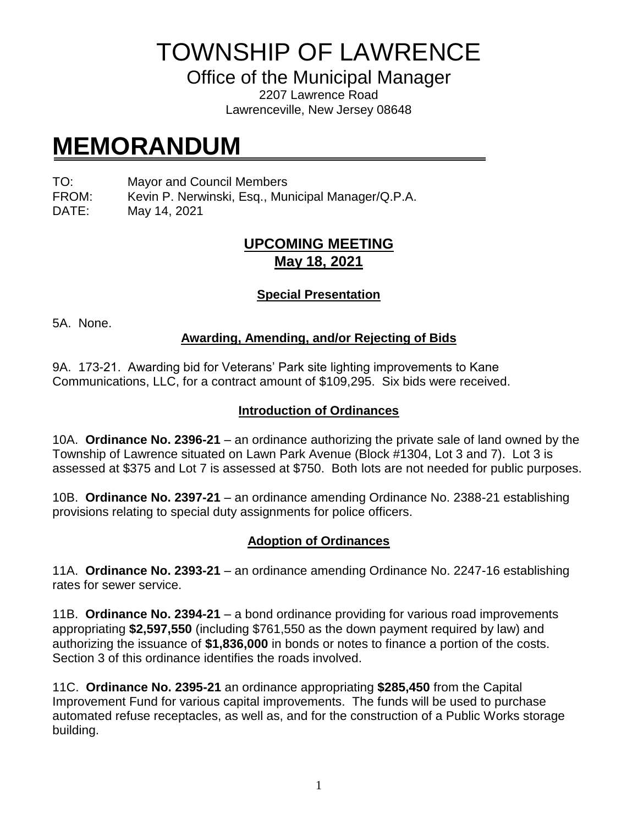TOWNSHIP OF LAWRENCE

Office of the Municipal Manager

2207 Lawrence Road Lawrenceville, New Jersey 08648

# **MEMORANDUM**

TO: Mayor and Council Members

FROM: Kevin P. Nerwinski, Esq., Municipal Manager/Q.P.A.

DATE: May 14, 2021

# **UPCOMING MEETING May 18, 2021**

## **Special Presentation**

5A. None.

## **Awarding, Amending, and/or Rejecting of Bids**

9A. 173-21. Awarding bid for Veterans' Park site lighting improvements to Kane Communications, LLC, for a contract amount of \$109,295. Six bids were received.

### **Introduction of Ordinances**

10A. **Ordinance No. 2396-21** – an ordinance authorizing the private sale of land owned by the Township of Lawrence situated on Lawn Park Avenue (Block #1304, Lot 3 and 7). Lot 3 is assessed at \$375 and Lot 7 is assessed at \$750. Both lots are not needed for public purposes.

10B. **Ordinance No. 2397-21** – an ordinance amending Ordinance No. 2388-21 establishing provisions relating to special duty assignments for police officers.

## **Adoption of Ordinances**

11A. **Ordinance No. 2393-21** – an ordinance amending Ordinance No. 2247-16 establishing rates for sewer service.

11B. **Ordinance No. 2394-21** – a bond ordinance providing for various road improvements appropriating **\$2,597,550** (including \$761,550 as the down payment required by law) and authorizing the issuance of **\$1,836,000** in bonds or notes to finance a portion of the costs. Section 3 of this ordinance identifies the roads involved.

11C. **Ordinance No. 2395-21** an ordinance appropriating **\$285,450** from the Capital Improvement Fund for various capital improvements. The funds will be used to purchase automated refuse receptacles, as well as, and for the construction of a Public Works storage building.